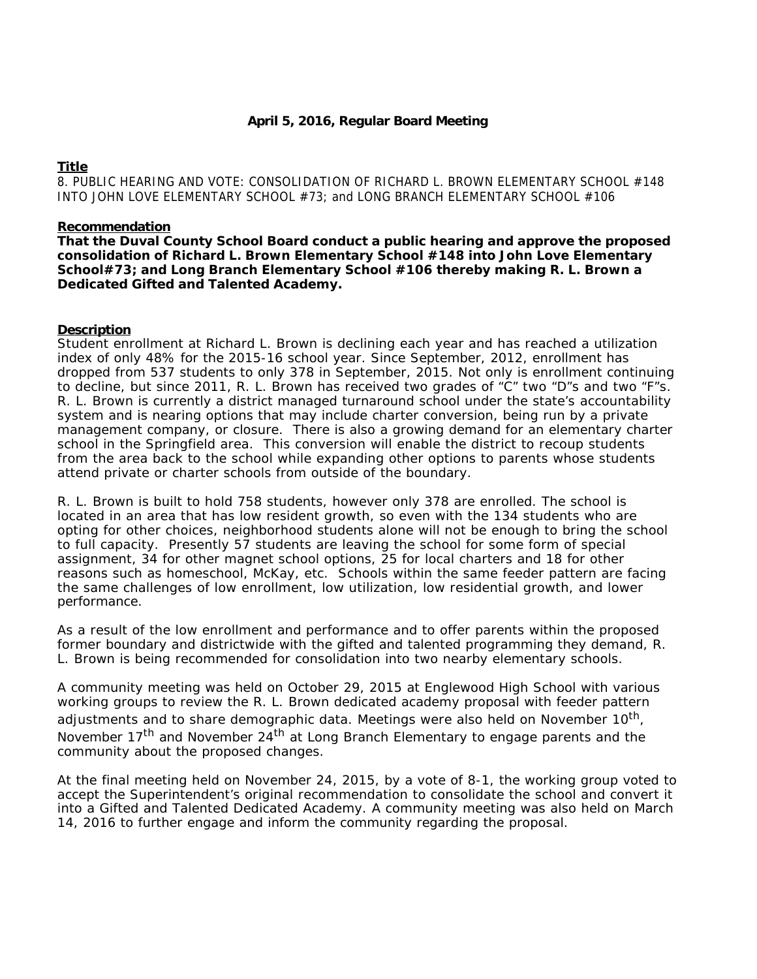# **Title**

8. PUBLIC HEARING AND VOTE: CONSOLIDATION OF RICHARD L. BROWN ELEMENTARY SCHOOL #148 INTO JOHN LOVE ELEMENTARY SCHOOL #73; and LONG BRANCH ELEMENTARY SCHOOL #106

### **Recommendation**

**That the Duval County School Board conduct a public hearing and approve the proposed consolidation of Richard L. Brown Elementary School #148 into John Love Elementary School#73; and Long Branch Elementary School #106 thereby making R. L. Brown a Dedicated Gifted and Talented Academy.** 

## **Description**

Student enrollment at Richard L. Brown is declining each year and has reached a utilization index of only 48% for the 2015-16 school year. Since September, 2012, enrollment has dropped from 537 students to only 378 in September, 2015. Not only is enrollment continuing to decline, but since 2011, R. L. Brown has received two grades of "C" two "D"s and two "F"s. R. L. Brown is currently a district managed turnaround school under the state's accountability system and is nearing options that may include charter conversion, being run by a private management company, or closure. There is also a growing demand for an elementary charter school in the Springfield area. This conversion will enable the district to recoup students from the area back to the school while expanding other options to parents whose students attend private or charter schools from outside of the boundary.

R. L. Brown is built to hold 758 students, however only 378 are enrolled. The school is located in an area that has low resident growth, so even with the 134 students who are opting for other choices, neighborhood students alone will not be enough to bring the school to full capacity. Presently 57 students are leaving the school for some form of special assignment, 34 for other magnet school options, 25 for local charters and 18 for other reasons such as homeschool, McKay, etc. Schools within the same feeder pattern are facing the same challenges of low enrollment, low utilization, low residential growth, and lower performance.

As a result of the low enrollment and performance and to offer parents within the proposed former boundary and districtwide with the gifted and talented programming they demand, R. L. Brown is being recommended for consolidation into two nearby elementary schools.

A community meeting was held on October 29, 2015 at Englewood High School with various working groups to review the R. L. Brown dedicated academy proposal with feeder pattern adjustments and to share demographic data. Meetings were also held on November 10<sup>th</sup>, November 17<sup>th</sup> and November 24<sup>th</sup> at Long Branch Elementary to engage parents and the community about the proposed changes.

At the final meeting held on November 24, 2015, by a vote of 8-1, the working group voted to accept the Superintendent's original recommendation to consolidate the school and convert it into a Gifted and Talented Dedicated Academy. A community meeting was also held on March 14, 2016 to further engage and inform the community regarding the proposal.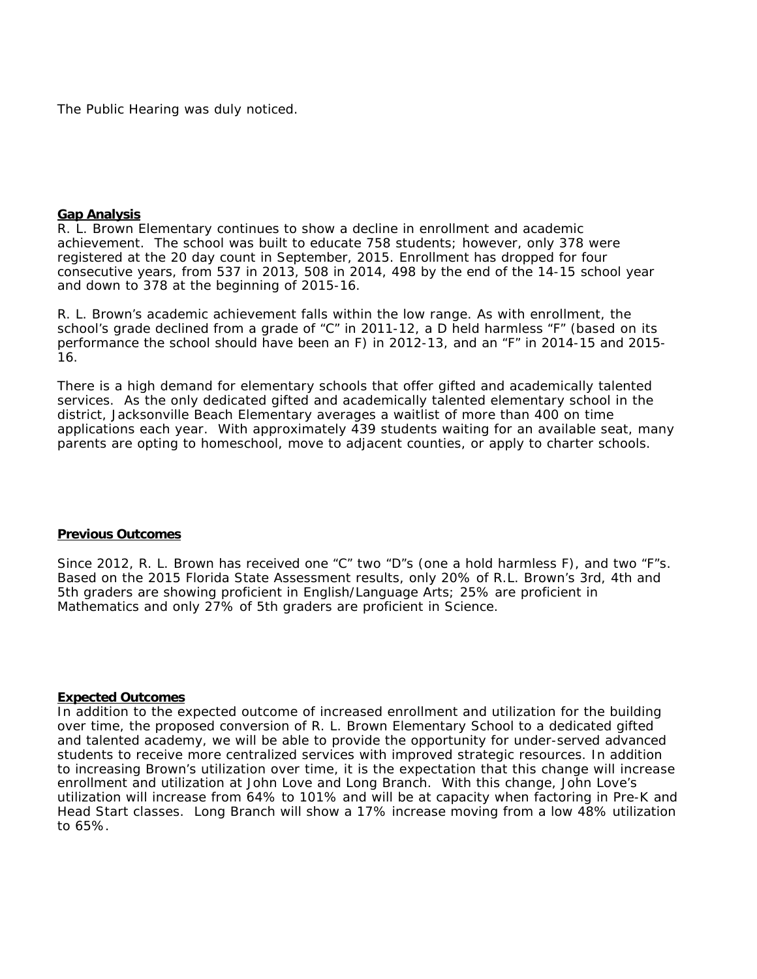The Public Hearing was duly noticed.

#### **Gap Analysis**

R. L. Brown Elementary continues to show a decline in enrollment and academic achievement. The school was built to educate 758 students; however, only 378 were registered at the 20 day count in September, 2015. Enrollment has dropped for four consecutive years, from 537 in 2013, 508 in 2014, 498 by the end of the 14-15 school year and down to 378 at the beginning of 2015-16.

R. L. Brown's academic achievement falls within the low range. As with enrollment, the school's grade declined from a grade of "C" in 2011-12, a D held harmless "F" (based on its performance the school should have been an F) in 2012-13, and an "F" in 2014-15 and 2015- 16.

There is a high demand for elementary schools that offer gifted and academically talented services. As the only dedicated gifted and academically talented elementary school in the district, Jacksonville Beach Elementary averages a waitlist of more than 400 on time applications each year. With approximately 439 students waiting for an available seat, many parents are opting to homeschool, move to adjacent counties, or apply to charter schools.

#### **Previous Outcomes**

Since 2012, R. L. Brown has received one "C" two "D"s (one a hold harmless F), and two "F"s. Based on the 2015 Florida State Assessment results, only 20% of R.L. Brown's 3rd, 4th and 5th graders are showing proficient in English/Language Arts; 25% are proficient in Mathematics and only 27% of 5th graders are proficient in Science.

## **Expected Outcomes**

In addition to the expected outcome of increased enrollment and utilization for the building over time, the proposed conversion of R. L. Brown Elementary School to a dedicated gifted and talented academy, we will be able to provide the opportunity for under-served advanced students to receive more centralized services with improved strategic resources. In addition to increasing Brown's utilization over time, it is the expectation that this change will increase enrollment and utilization at John Love and Long Branch. With this change, John Love's utilization will increase from 64% to 101% and will be at capacity when factoring in Pre-K and Head Start classes. Long Branch will show a 17% increase moving from a low 48% utilization to 65%.